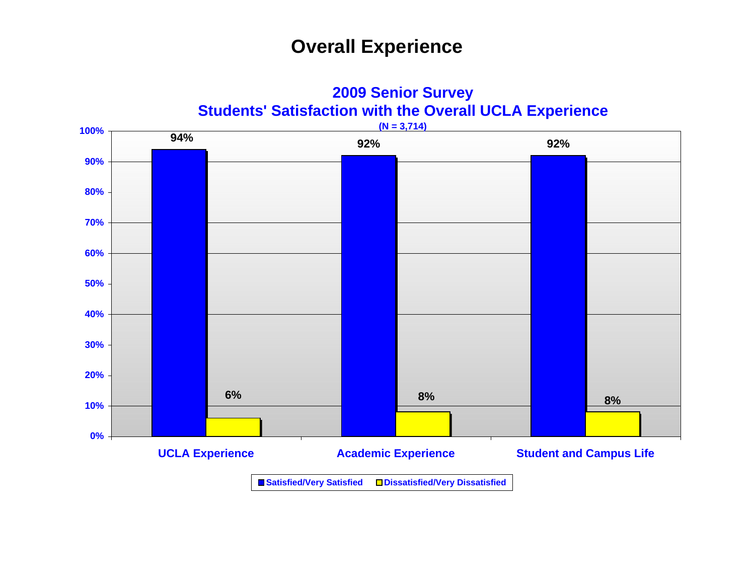## **Overall Experience**



**2009 Senior Survey**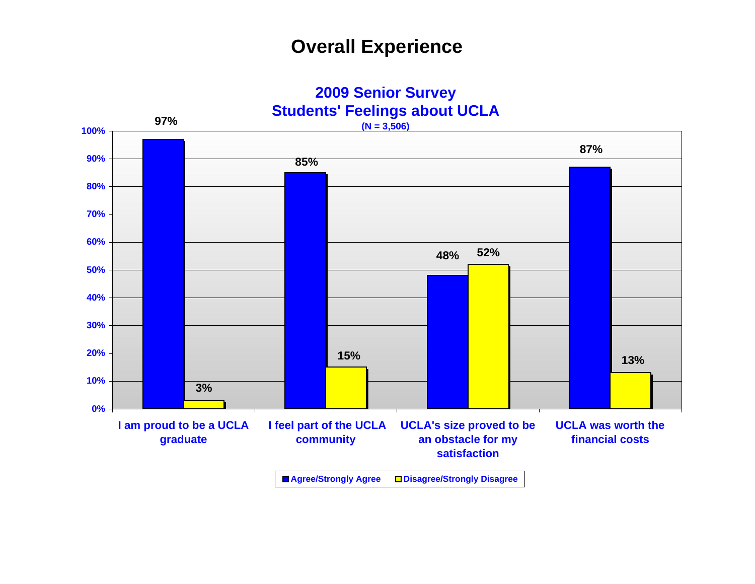## **Overall Experience**

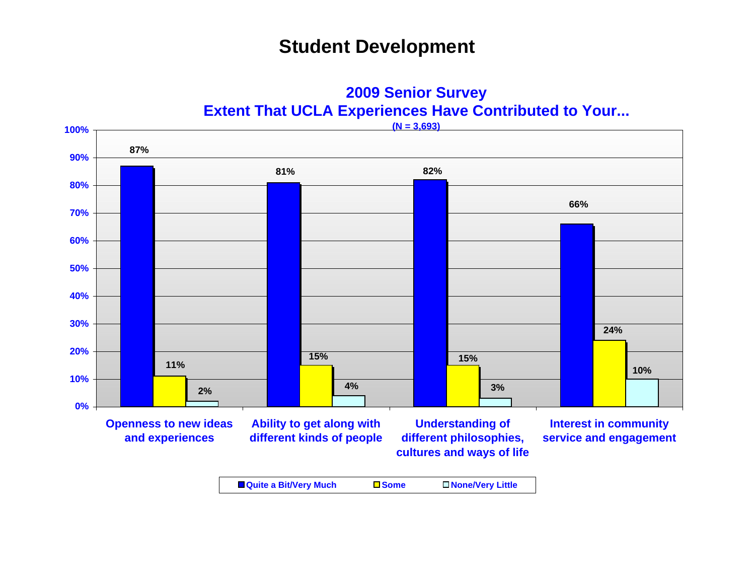### **Student Development**

**2009 Senior Survey Extent That UCLA Experiences Have Contributed to Your...**

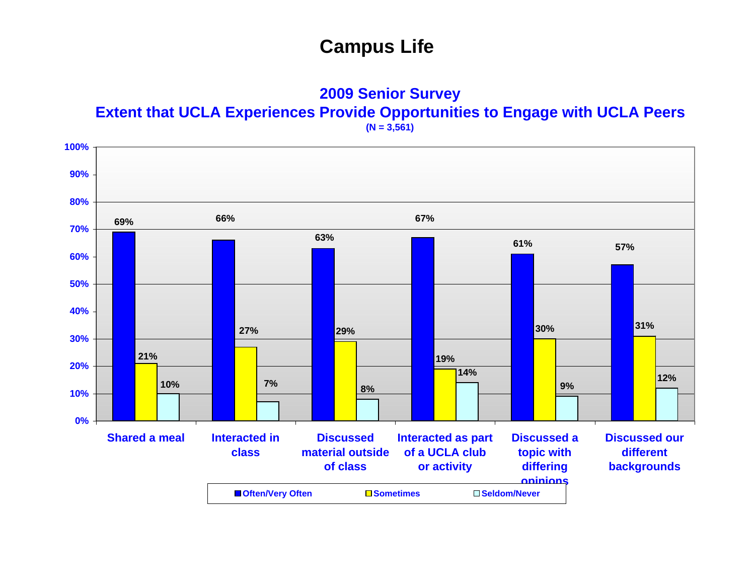**2009 Senior Survey Extent that UCLA Experiences Provide Opportunities to Engage with UCLA Peers (N = 3,561)**

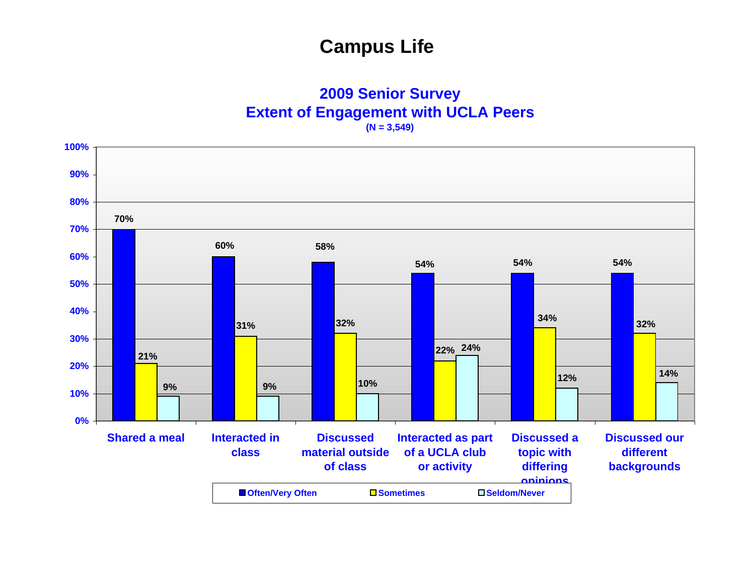#### **2009 Senior Survey Extent of Engagement with UCLA Peers (N = 3,549)**

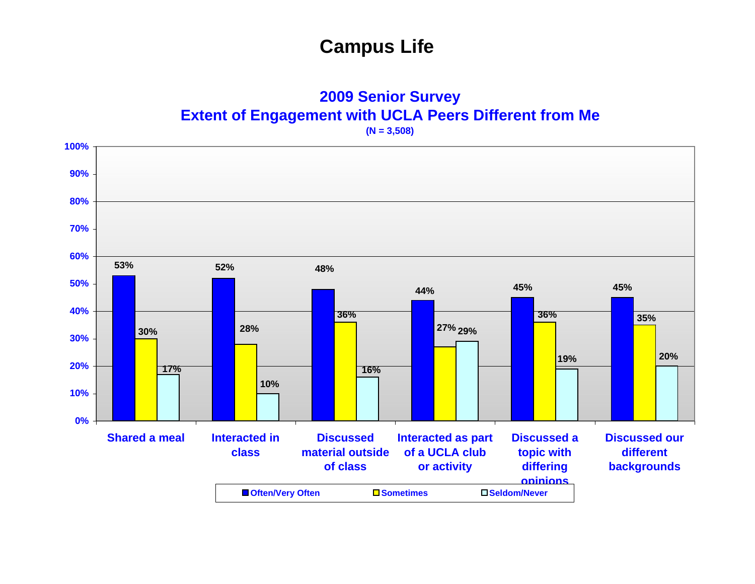**2009 Senior Survey Extent of Engagement with UCLA Peers Different from Me**

**(N = 3,508)**

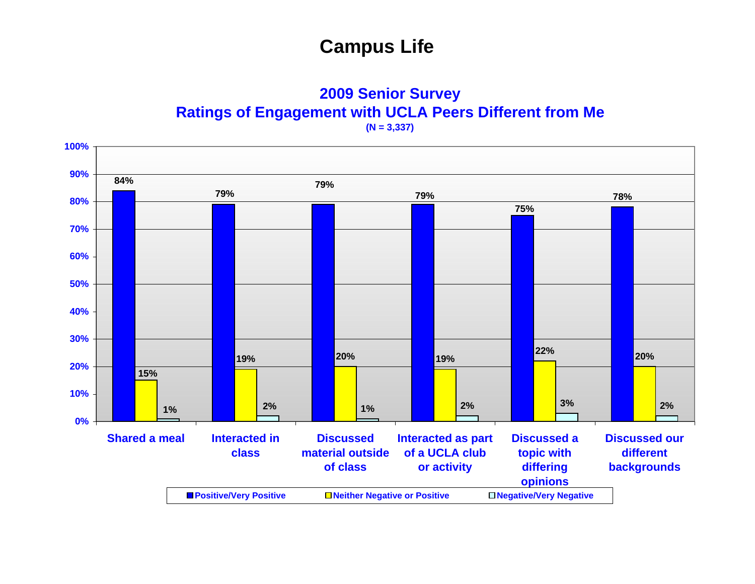**2009 Senior Survey Ratings of Engagement with UCLA Peers Different from Me**

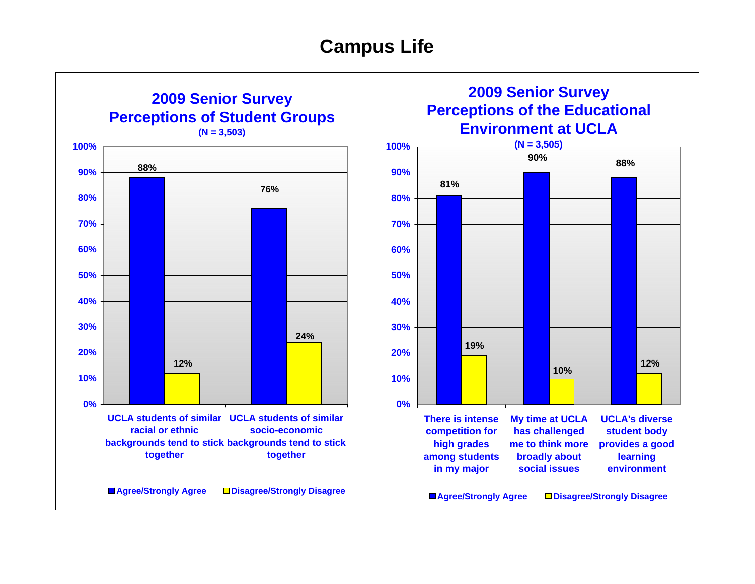

**2009 Senior Survey Perceptions of the Educational Environment at UCLA**